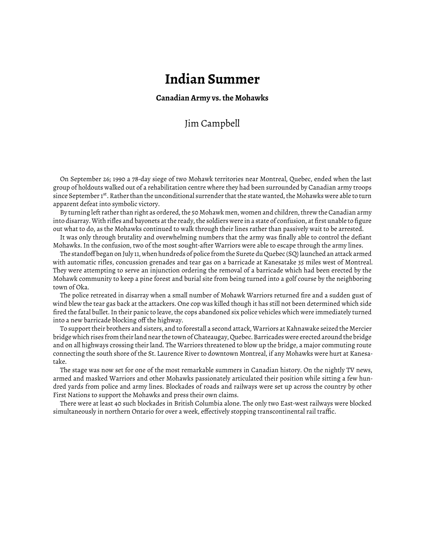# **Indian Summer**

**Canadian Army vs. the Mohawks**

# Jim Campbell

On September 26; 1990 a 78-day siege of two Mohawk territories near Montreal, Quebec, ended when the last group of holdouts walked out of a rehabilitation centre where they had been surrounded by Canadian army troops since September 1st. Rather than the unconditional surrender that the state wanted, the Mohawks were able to turn apparent defeat into symbolic victory.

By turning left rather than right as ordered, the 50 Mohawk men, women and children, threw the Canadian army into disarray. With rifles and bayonets at the ready, the soldiers were in a state of confusion, at first unable to figure out what to do, as the Mohawks continued to walk through their lines rather than passively wait to be arrested.

It was only through brutality and overwhelming numbers that the army was finally able to control the defiant Mohawks. In the confusion, two of the most sought-after Warriors were able to escape through the army lines.

The standoff began on July 11, when hundreds of police from the Surete du Quebec (SQ) launched an attack armed with automatic rifles, concussion grenades and tear gas on a barricade at Kanesatake 35 miles west of Montreal. They were attempting to serve an injunction ordering the removal of a barricade which had been erected by the Mohawk community to keep a pine forest and burial site from being turned into a golf course by the neighboring town of Oka.

The police retreated in disarray when a small number of Mohawk Warriors returned fire and a sudden gust of wind blew the tear gas back at the attackers. One cop was killed though it has still not been determined which side fired the fatal bullet. In their panic to leave, the cops abandoned six police vehicles which were immediately turned into a new barricade blocking off the highway.

To support their brothers and sisters, and to forestall a second attack, Warriors at Kahnawake seized the Mercier bridge which rises from their land near the town of Chateaugay, Quebec. Barricades were erected around the bridge and on all highways crossing their land. The Warriors threatened to blow up the bridge, a major commuting route connecting the south shore of the St. Laurence River to downtown Montreal, if any Mohawks were hurt at Kanesatake.

The stage was now set for one of the most remarkable summers in Canadian history. On the nightly TV news, armed and masked Warriors and other Mohawks passionately articulated their position while sitting a few hundred yards from police and army lines. Blockades of roads and railways were set up across the country by other First Nations to support the Mohawks and press their own claims.

There were at least 40 such blockades in British Columbia alone. The only two East-west railways were blocked simultaneously in northern Ontario for over a week, effectively stopping transcontinental rail traffic.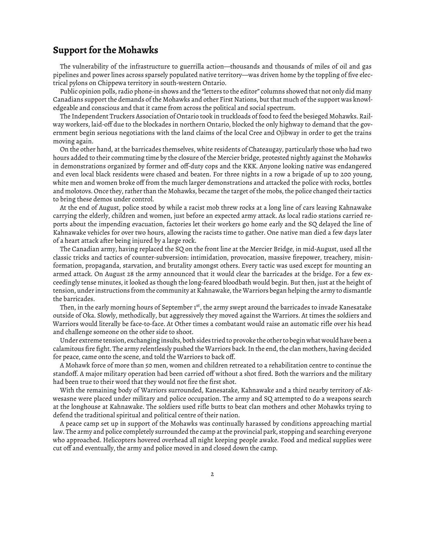#### **Support for the Mohawks**

The vulnerability of the infrastructure to guerrilla action—thousands and thousands of miles of oil and gas pipelines and power lines across sparsely populated native territory—was driven home by the toppling of five electrical pylons on Chippewa territory in south-western Ontario.

Public opinion polls, radio phone-in shows and the "letters to the editor" columns showed that not only did many Canadians support the demands of the Mohawks and other First Nations, but that much of the support was knowledgeable and conscious and that it came from across the political and social spectrum.

The Independent Truckers Association of Ontario took in truckloads of food to feed the besieged Mohawks. Railway workers, laid-off due to the blockades in northern Ontario, blocked the only highway to demand that the government begin serious negotiations with the land claims of the local Cree and Ojibway in order to get the trains moving again.

On the other hand, at the barricades themselves, white residents of Chateaugay, particularly those who had two hours added to their commuting time by the closure of the Mercier bridge, protested nightly against the Mohawks in demonstrations organized by former and off-duty cops and the KKK. Anyone looking native was endangered and even local black residents were chased and beaten. For three nights in a row a brigade of up to 200 young, white men and women broke off from the much larger demonstrations and attacked the police with rocks, bottles and molotovs. Once they, rather than the Mohawks, became the target of the mobs, the police changed their tactics to bring these demos under control.

At the end of August, police stood by while a racist mob threw rocks at a long line of cars leaving Kahnawake carrying the elderly, children and women, just before an expected army attack. As local radio stations carried reports about the impending evacuation, factories let their workers go home early and the SQ delayed the line of Kahnawake vehicles for over two hours, allowing the racists time to gather. One native man died a few days later of a heart attack after being injured by a large rock.

The Canadian army, having replaced the SQ on the front line at the Mercier Bridge, in mid-August, used all the classic tricks and tactics of counter-subversion: intimidation, provocation, massive firepower, treachery, misinformation, propaganda, starvation, and brutality amongst others. Every tactic was used except for mounting an armed attack. On August 28 the army announced that it would clear the barricades at the bridge. For a few exceedingly tense minutes, it looked as though the long-feared bloodbath would begin. But then, just at the height of tension, under instructions from the community at Kahnawake, the Warriors began helping the army to dismantle the barricades.

Then, in the early morning hours of September 1st, the army swept around the barricades to invade Kanesatake outside of Oka. Slowly, methodically, but aggressively they moved against the Warriors. At times the soldiers and Warriors would literally be face-to-face. At Other times a combatant would raise an automatic rifle over his head and challenge someone on the other side to shoot.

Under extreme tension, exchanging insults, both sides tried to provoke the other to begin what would have been a calamitous fire fight. The army relentlessly pushed the Warriors back. In the end, the clan mothers, having decided for peace, came onto the scene, and told the Warriors to back off.

A Mohawk force of more than 50 men, women and children retreated to a rehabilitation centre to continue the standoff. A major military operation had been carried off without a shot fired. Both the warriors and the military had been true to their word that they would not fire the first shot.

With the remaining body of Warriors surrounded, Kanesatake, Kahnawake and a third nearby territory of Akwesasne were placed under military and police occupation. The army and SQ attempted to do a weapons search at the longhouse at Kahnawake. The soldiers used rifle butts to beat clan mothers and other Mohawks trying to defend the traditional spiritual and political centre of their nation.

A peace camp set up in support of the Mohawks was continually harassed by conditions approaching martial law. The army and police completely surrounded the camp at the provincial park, stopping and searching everyone who approached. Helicopters hovered overhead all night keeping people awake. Food and medical supplies were cut off and eventually, the army and police moved in and closed down the camp.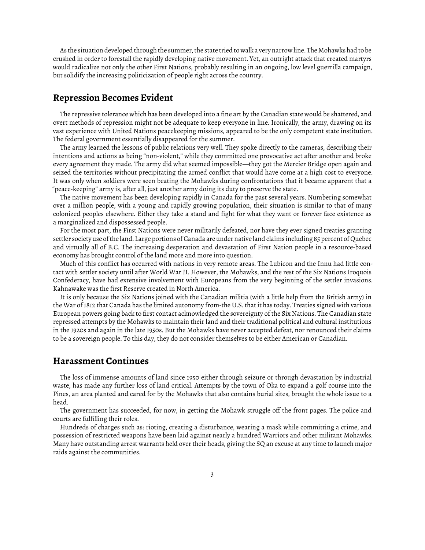As the situation developed through the summer, the state tried to walk a very narrow line. The Mohawks had to be crushed in order to forestall the rapidly developing native movement. Yet, an outright attack that created martyrs would radicalize not only the other First Nations, probably resulting in an ongoing, low level guerrilla campaign, but solidify the increasing politicization of people right across the country.

#### **Repression Becomes Evident**

The repressive tolerance which has been developed into a fine art by the Canadian state would be shattered, and overt methods of repression might not be adequate to keep everyone in line. Ironically, the army, drawing on its vast experience with United Nations peacekeeping missions, appeared to be the only competent state institution. The federal government essentially disappeared for the summer.

The army learned the lessons of public relations very well. They spoke directly to the cameras, describing their intentions and actions as being "non-violent," while they committed one provocative act after another and broke every agreement they made. The army did what seemed impossible—they got the Mercier Bridge open again and seized the territories without precipitating the armed conflict that would have come at a high cost to everyone. It was only when soldiers were seen beating the Mohawks during confrontations that it became apparent that a "peace-keeping" army is, after all, just another army doing its duty to preserve the state.

The native movement has been developing rapidly in Canada for the past several years. Numbering somewhat over a million people, with a young and rapidly growing population, their situation is similar to that of many colonized peoples elsewhere. Either they take a stand and fight for what they want or forever face existence as a marginalized and dispossessed people.

For the most part, the First Nations were never militarily defeated, nor have they ever signed treaties granting settler society use of the land. Large portions of Canada are under native land claims including 85 percent of Quebec and virtually all of B.C. The increasing desperation and devastation of First Nation people in a resource-based economy has brought control of the land more and more into question.

Much of this conflict has occurred with nations in very remote areas. The Lubicon and the Innu had little contact with settler society until after World War II. However, the Mohawks, and the rest of the Six Nations Iroquois Confederacy, have had extensive involvement with Europeans from the very beginning of the settler invasions. Kahnawake was the first Reserve created in North America.

It is only because the Six Nations joined with the Canadian militia (with a little help from the British army) in the War of 1812 that Canada has the limited autonomy from-the U.S. that it has today. Treaties signed with various European powers going back to first contact acknowledged the sovereignty of the Six Nations. The Canadian state repressed attempts by the Mohawks to maintain their land and their traditional political and cultural institutions in the 1920s and again in the late 1950s. But the Mohawks have never accepted defeat, nor renounced their claims to be a sovereign people. To this day, they do not consider themselves to be either American or Canadian.

## **Harassment Continues**

The loss of immense amounts of land since 1950 either through seizure or through devastation by industrial waste, has made any further loss of land critical. Attempts by the town of Oka to expand a golf course into the Pines, an area planted and cared for by the Mohawks that also contains burial sites, brought the whole issue to a head.

The government has succeeded, for now, in getting the Mohawk struggle off the front pages. The police and courts are fulfilling their roles.

Hundreds of charges such as: rioting, creating a disturbance, wearing a mask while committing a crime, and possession of restricted weapons have been laid against nearly a hundred Warriors and other militant Mohawks. Many have outstanding arrest warrants held over their heads, giving the SQ an excuse at any time to launch major raids against the communities.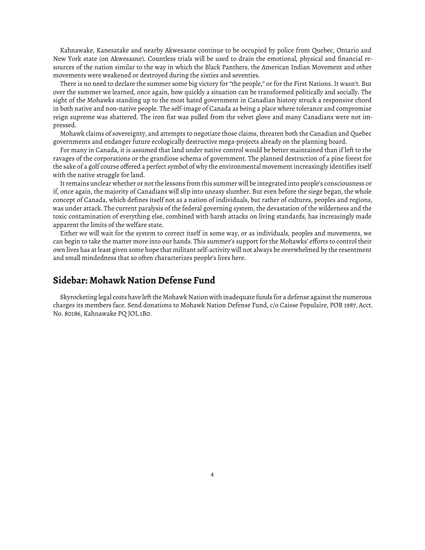Kahnawake, Kanesatake and nearby Akwesasne continue to be occupied by police from Quebec, Ontario and New York state (on Akwesasne). Countless trials will be used to drain the emotional, physical and financial resources of the nation similar to the way in which the Black Panthers, the American Indian Movement and other movements were weakened or destroyed during the sixties and seventies.

There is no need to declare the summer some big victory for "the people," or for the First Nations. It wasn't. But over the summer we learned, once again, how quickly a situation can be transformed politically and socially. The sight of the Mohawks standing up to the most hated government in Canadian history struck a responsive chord in both native and non-native people. The self-image of Canada as being a place where tolerance and compromise reign supreme was shattered. The iron fist was pulled from the velvet glove and many Canadians were not impressed.

Mohawk claims of sovereignty, and attempts to negotiate those claims, threaten both the Canadian and Quebec governments and endanger future ecologically destructive mega-projects already on the planning board.

For many in Canada, it is assumed that land under native control would be better maintained than if left to the ravages of the corporations or the grandiose schema of government. The planned destruction of a pine forest for the sake of a golf course offered a perfect symbol of why the environmental movement increasingly identifies itself with the native struggle for land.

It remains unclear whether or not the lessons from this summer will be integrated into people's consciousness or if, once again, the majority of Canadians will slip into uneasy slumber. But even before the siege began, the whole concept of Canada, which defines itself not as a nation of individuals, but rather of cultures, peoples and regions, was under attack. The current paralysis of the federal governing system, the devastation of the wilderness and the toxic contamination of everything else, combined with harsh attacks on living standards, has increasingly made apparent the limits of the welfare state.

Either we will wait for the system to correct itself in some way, or as individuals, peoples and movements, we can begin to take the matter more into our hands. This summer's support for the Mohawks' efforts to control their own lives has at least given some hope that militant self-activity will not always be overwhelmed by the resentment and small mindedness that so often characterizes people's lives here.

## **Sidebar: Mohawk Nation Defense Fund**

Skyrocketing legal costs have left the Mohawk Nation with inadequate funds for a defense against the numerous charges its members face. Send donations to Mohawk Nation Defense Fund, c/o Caisse Populaire, POB 1987, Acct. No. 80186, Kahnawake PQ JOL 1B0.